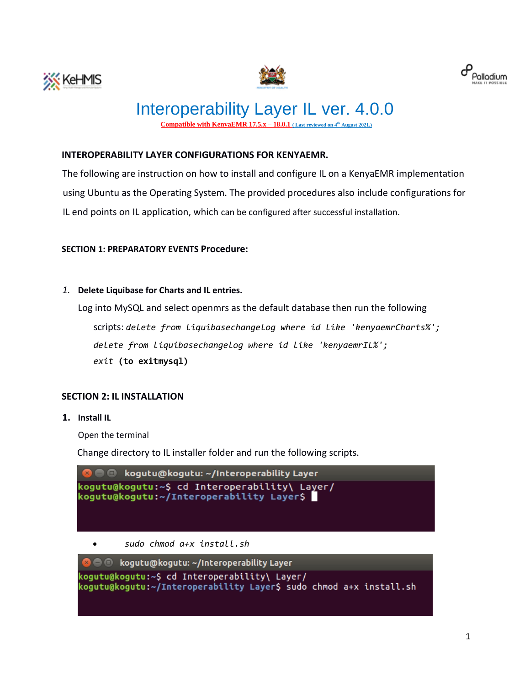





# Interoperability Layer IL ver. 4.0.0 **Compatible with KenyaEMR**  $17.5$ **,** $x - 18.0$ **,** $1$  **(Last reviewed on**  $4<sup>th</sup>$  **August 2021.)**

# **INTEROPERABILITY LAYER CONFIGURATIONS FOR KENYAEMR.**

The following are instruction on how to install and configure IL on a KenyaEMR implementation using Ubuntu as the Operating System. The provided procedures also include configurations for IL end points on IL application, which can be configured after successful installation.

### **SECTION 1: PREPARATORY EVENTS Procedure:**

*1.* **Delete Liquibase for Charts and IL entries.** 

Log into MySQL and select openmrs as the default database then run the following

scripts: *delete from liquibasechangelog where id like 'kenyaemrCharts%'; delete from liquibasechangelog where id like 'kenyaemrIL%'; exit* **(to exitmysql)**

## **SECTION 2: IL INSTALLATION**

**1. Install IL** 

Open the terminal

Change directory to IL installer folder and run the following scripts.

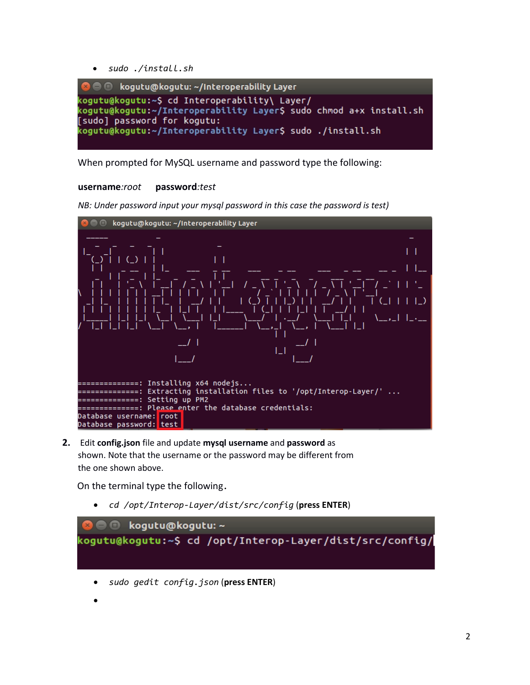• *sudo ./install.sh* 



When prompted for MySQL username and password type the following:

#### **username***:root* **password***:test*

*NB: Under password input your mysql password in this case the password is test)*



**2.** Edit **config.json** file and update **mysql username** and **password** as shown. Note that the username or the password may be different from the one shown above.

On the terminal type the following*.*

• *cd /opt/Interop-Layer/dist/src/config* (**press ENTER**)

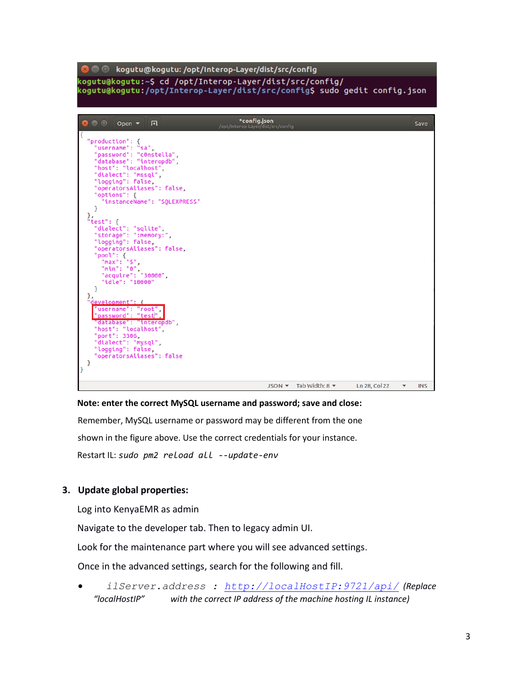| <b>ROO</b><br>kogutu@kogutu: /opt/Interop-Layer/dist/src/config                                                                                                                                                                                                                                                                                                                                                                                                                                                                                                                                                                                                                                                |                                                    |                                                             |               |            |
|----------------------------------------------------------------------------------------------------------------------------------------------------------------------------------------------------------------------------------------------------------------------------------------------------------------------------------------------------------------------------------------------------------------------------------------------------------------------------------------------------------------------------------------------------------------------------------------------------------------------------------------------------------------------------------------------------------------|----------------------------------------------------|-------------------------------------------------------------|---------------|------------|
| kogutu@kogutu:~\$ cd /opt/Interop-Layer/dist/src/config/<br>kogutu@kogutu:/opt/Interop-Layer/dist/src/config\$ sudo gedit config.json                                                                                                                                                                                                                                                                                                                                                                                                                                                                                                                                                                          |                                                    |                                                             |               |            |
|                                                                                                                                                                                                                                                                                                                                                                                                                                                                                                                                                                                                                                                                                                                |                                                    |                                                             |               |            |
| $\bullet$ $\bullet$<br>Open $\blacktriangledown$<br>凮                                                                                                                                                                                                                                                                                                                                                                                                                                                                                                                                                                                                                                                          | *config.json<br>/opt/Interop-Layer/dist/src/config |                                                             |               | Save       |
| Ł<br>"production": {<br>"username": "sa",<br>"password": "c0nstella",<br>"database": "interopdb",<br>"host": "localhost",<br>"dialect": "mssql",<br>"logging": false,<br>"operatorsAliases": false,<br>"options": {<br>"instanceName": "SOLEXPRESS"<br>ł<br>},<br>"test": $\{$<br>"dialect": "sqlite",<br>"storage": ":memory:",<br>"logging": false,<br>"operatorsAliases": false,<br>"pool": $\{$<br>"max": "5",<br>"min": "0",<br>"acquire": "30000",<br>"idle": "10000"<br>}<br>},<br>development": {<br>"username": "root".<br>password": "test",<br>"database": "interopdb",<br>"host": "localhost",<br>"port": 3306,<br>"dialect": "mysql",<br>"logging": false,<br>"operatorsAliases": false<br>ł<br>ŀ |                                                    |                                                             |               |            |
|                                                                                                                                                                                                                                                                                                                                                                                                                                                                                                                                                                                                                                                                                                                |                                                    | JSON $\blacktriangledown$ Tab Width: 8 $\blacktriangledown$ | Ln 28, Col 22 | <b>INS</b> |

### **Note: enter the correct MySQL username and password; save and close:**

Remember, MySQL username or password may be different from the one shown in the figure above. Use the correct credentials for your instance. Restart IL: *sudo pm2 reload all --update-env*

# **3. Update global properties:**

Log into KenyaEMR as admin

Navigate to the developer tab. Then to legacy admin UI.

Look for the maintenance part where you will see advanced settings.

Once in the advanced settings, search for the following and fill.

• *ilServer.address : [http://localHostIP:9721/api/](http://localserverip/api/) (Replace "localHostIP" with the correct IP address of the machine hosting IL instance)*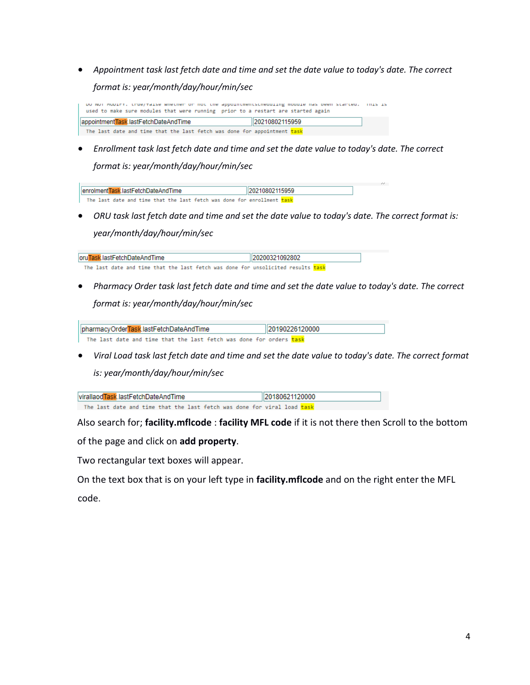• *Appointment task last fetch date and time and set the date value to today's date. The correct format is: year/month/day/hour/min/sec*

DO NOT MODIFY. CHRE/Taise whether or not the appointmentstheouiing module has been started. This is used to make sure modules that were running prior to a restart are started again 20210802115959 appointmentTask.lastFetchDateAndTime The last date and time that the last fetch was done for appointment task

• *Enrollment task last fetch date and time and set the date value to today's date. The correct format is: year/month/day/hour/min/sec*

| HenrolmentTask.lastFetchDateAndTime<br>I20210802115959 |
|--------------------------------------------------------|
|                                                        |
|                                                        |

• *ORU task last fetch date and time and set the date value to today's date. The correct format is: year/month/day/hour/min/sec*

| oruTask.lastFetchDateAndTime |  |  |  |  |  | 120200321092802                                                                  |  |  |
|------------------------------|--|--|--|--|--|----------------------------------------------------------------------------------|--|--|
|                              |  |  |  |  |  | The last date and time that the last fetch was done for unsolicited results task |  |  |

• *Pharmacy Order task last fetch date and time and set the date value to today's date. The correct format is: year/month/day/hour/min/sec*

pharmacyOrderTask.lastFetchDateAndTime 20190226120000 The last date and time that the last fetch was done for orders task

• *Viral Load task last fetch date and time and set the date value to today's date. The correct format is: year/month/day/hour/min/sec*

| virallaodTask.lastFetchDateAndTime |  |  |  |  |  | 120180621120000                                                         |  |  |
|------------------------------------|--|--|--|--|--|-------------------------------------------------------------------------|--|--|
|                                    |  |  |  |  |  | The last date and time that the last fetch was done for viral load task |  |  |

Also search for; **facility.mflcode** : **facility MFL code** if it is not there then Scroll to the bottom

of the page and click on **add property**.

Two rectangular text boxes will appear.

On the text box that is on your left type in **facility.mflcode** and on the right enter the MFL

code.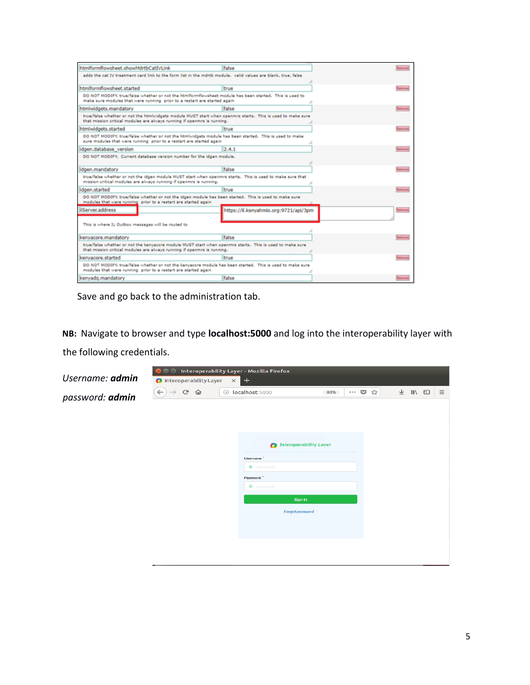| htmlformflowsheet.showMdrtbCatIVLink                                                                                                                                                  | false                                 | REFFICVA          |
|---------------------------------------------------------------------------------------------------------------------------------------------------------------------------------------|---------------------------------------|-------------------|
| adds the cat IV treatment card link to the form list in the mdrth module. valid values are blank, true, false                                                                         |                                       |                   |
|                                                                                                                                                                                       |                                       |                   |
| htmlformflowsheet.started                                                                                                                                                             | true                                  | Restrictive       |
| DO NOT MODIFY, true/false whether or not the htmlformflowsheet module has been started. This is used to                                                                               |                                       |                   |
| make sure modules that were running prior to a restart are started again                                                                                                              |                                       |                   |
| htmlwidgets.mandatory                                                                                                                                                                 | false                                 | <b>Restrictor</b> |
| true/false whether or not the htmlwidgets module MUST start when openmrs starts. This is used to make sure<br>that mission critical modules are always running if openmrs is running. |                                       |                   |
| htmlwidgets.started                                                                                                                                                                   | true                                  | <b>Lestinity</b>  |
| DO NOT MODIFY. true/false whether or not the htmlwidgets module has been started. This is used to make<br>sure modules that were running prior to a restart are started again         |                                       |                   |
| idgen.database version                                                                                                                                                                | 2.4.1                                 | Remove            |
| DO NOT MODIFY. Current database version number for the idgen module.                                                                                                                  |                                       |                   |
|                                                                                                                                                                                       |                                       |                   |
| idgen.mandatory                                                                                                                                                                       | false                                 | Remove            |
| true/false whether or not the idgen module MUST start when openmrs starts. This is used to make sure that<br>mission critical modules are always running if openmrs is running.       |                                       |                   |
| idgen.started                                                                                                                                                                         | true                                  | RESTIGNI          |
| DO NOT MODIFY, true/false whether or not the idgen module has been started. This is used to make sure<br>modules that were running prior to a restart are started again               |                                       |                   |
| ilServer.address                                                                                                                                                                      | https://il.kenyahmis.org:9721/api/3pm | Remove            |
|                                                                                                                                                                                       |                                       |                   |
| This is where IL Outbox messages will be routed to                                                                                                                                    |                                       |                   |
|                                                                                                                                                                                       |                                       |                   |
| kenvacore.mandatory                                                                                                                                                                   | false                                 | <b>Rentwood</b>   |
| true/false whether or not the kenyacore module MUST start when openmrs starts. This is used to make sure<br>that mission critical modules are always running if openmrs is running.   |                                       |                   |
| kenvacore.started                                                                                                                                                                     | true                                  | lemove            |
| DO NOT MODIFY. true/false whether or not the kenyacore module has been started. This is used to make sure<br>modules that were running prior to a restart are started again           |                                       |                   |
| kenvadg.mandatory                                                                                                                                                                     | false                                 | Remove            |
|                                                                                                                                                                                       |                                       |                   |

Save and go back to the administration tab.

**NB:** Navigate to browser and type **localhost:5000** and log into the interoperability layer with the following credentials.

|                 |                               |                                 |         | <b>O</b> Interoperability Layer - Mozilla Firefox |                               |                       |   |       |          |
|-----------------|-------------------------------|---------------------------------|---------|---------------------------------------------------|-------------------------------|-----------------------|---|-------|----------|
| Username: admin |                               | <b>O</b> Interoperability Layer |         | $\vert x \vert +$                                 |                               |                       |   |       |          |
| password: admin | $\leftarrow$<br>$\rightarrow$ | $\mathbb{C}^{\mathsf{s}}$<br>仚  | $\odot$ | localhost:5000                                    | 80%                           | $\cdots$ $\heartsuit$ | ☆ | → Ⅲ □ | $\equiv$ |
|                 |                               |                                 |         |                                                   |                               |                       |   |       |          |
|                 |                               |                                 |         | $\bullet$                                         | <b>Interoperability Layer</b> |                       |   |       |          |
|                 |                               |                                 |         | Username <sup>*</sup>                             |                               |                       |   |       |          |
|                 |                               |                                 |         | & username<br>Password <sup>*</sup>               |                               |                       |   |       |          |
|                 |                               |                                 |         | <b>A</b> password                                 |                               |                       |   |       |          |
|                 |                               |                                 |         |                                                   | Sign In                       |                       |   |       |          |
|                 |                               |                                 |         |                                                   | Forgot password               |                       |   |       |          |
|                 |                               |                                 |         |                                                   |                               |                       |   |       |          |
|                 |                               |                                 |         |                                                   |                               |                       |   |       |          |
|                 |                               |                                 |         |                                                   |                               |                       |   |       |          |
|                 |                               |                                 |         |                                                   |                               |                       |   |       |          |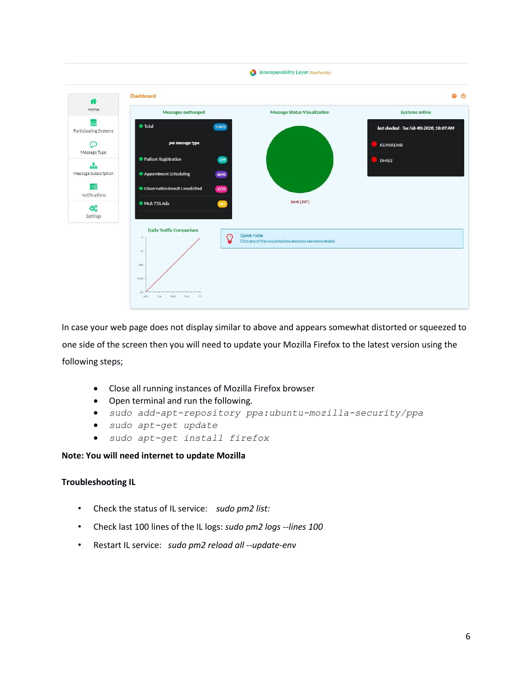

In case your web page does not display similar to above and appears somewhat distorted or squeezed to one side of the screen then you will need to update your Mozilla Firefox to the latest version using the following steps;

- Close all running instances of Mozilla Firefox browser
- Open terminal and run the following.
- *sudo add-apt-repository ppa:ubuntu-mozilla-security/ppa*
- *sudo apt-get update*
- *sudo apt-get install firefox*

#### **Note: You will need internet to update Mozilla**

#### **Troubleshooting IL**

- Check the status of IL service: *sudo pm2 list:*
- Check last 100 lines of the IL logs: *sudo pm2 logs --lines 100*
- Restart IL service: *sudo pm2 reload all --update-env*